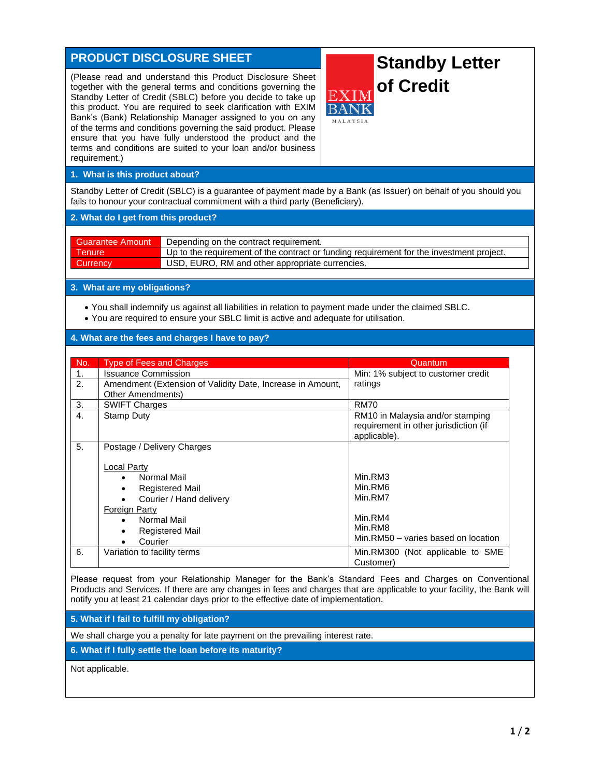## **PRODUCT DISCLOSURE SHEET**

(Please read and understand this Product Disclosure Sheet together with the general terms and conditions governing the Standby Letter of Credit (SBLC) before you decide to take up this product. You are required to seek clarification with EXIM Bank's (Bank) Relationship Manager assigned to you on any of the terms and conditions governing the said product. Please ensure that you have fully understood the product and the terms and conditions are suited to your loan and/or business requirement.)

# **Standby Letter of Credit**

### **1. What is this product about?**

Standby Letter of Credit (SBLC) is a guarantee of payment made by a Bank (as Issuer) on behalf of you should you fails to honour your contractual commitment with a third party (Beneficiary).

#### **2. What do I get from this product?**

| <b>Guarantee Amount</b> | Depending on the contract requirement.                                                   |  |
|-------------------------|------------------------------------------------------------------------------------------|--|
| Tenure                  | Up to the requirement of the contract or funding requirement for the investment project. |  |
| Currency                | USD, EURO, RM and other appropriate currencies.                                          |  |

#### **3. What are my obligations?**

- You shall indemnify us against all liabilities in relation to payment made under the claimed SBLC.
- You are required to ensure your SBLC limit is active and adequate for utilisation.

#### **4. What are the fees and charges I have to pay?**

| No.              | <b>Type of Fees and Charges</b>                                                 | Quantum                                                                                   |  |
|------------------|---------------------------------------------------------------------------------|-------------------------------------------------------------------------------------------|--|
| 1.               | <b>Issuance Commission</b>                                                      | Min: 1% subject to customer credit                                                        |  |
| 2.               | Amendment (Extension of Validity Date, Increase in Amount,<br>Other Amendments) | ratings                                                                                   |  |
| 3.               | <b>SWIFT Charges</b>                                                            | <b>RM70</b>                                                                               |  |
| $\overline{4}$ . | Stamp Duty                                                                      | RM10 in Malaysia and/or stamping<br>requirement in other jurisdiction (if<br>applicable). |  |
| 5.               | Postage / Delivery Charges                                                      |                                                                                           |  |
|                  | Local Party                                                                     |                                                                                           |  |
|                  | Normal Mail<br>$\bullet$                                                        | Min.RM3                                                                                   |  |
|                  | <b>Registered Mail</b>                                                          | Min.RM6                                                                                   |  |
|                  | Courier / Hand delivery                                                         | Min.RM7                                                                                   |  |
|                  | <b>Foreign Party</b>                                                            |                                                                                           |  |
|                  | Normal Mail<br>$\bullet$                                                        | Min.RM4                                                                                   |  |
|                  | <b>Registered Mail</b><br>٠                                                     | Min.RM8                                                                                   |  |
|                  | Courier<br>$\bullet$                                                            | Min.RM50 - varies based on location                                                       |  |
| 6.               | Variation to facility terms                                                     | Min.RM300 (Not applicable to SME<br>Customer)                                             |  |

Please request from your Relationship Manager for the Bank's Standard Fees and Charges on Conventional Products and Services. If there are any changes in fees and charges that are applicable to your facility, the Bank will notify you at least 21 calendar days prior to the effective date of implementation.

**5. What if I fail to fulfill my obligation?**

We shall charge you a penalty for late payment on the prevailing interest rate.

**6. What if I fully settle the loan before its maturity?**

Not applicable.